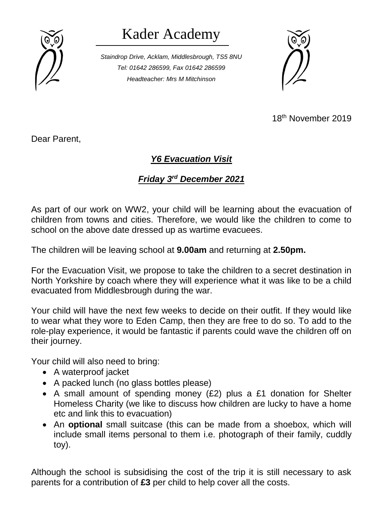

## Kader Academy

*Staindrop Drive, Acklam, Middlesbrough, TS5 8NU Tel: 01642 286599, Fax 01642 286599 Headteacher: Mrs M Mitchinson*



18th November 2019

Dear Parent,

## *Y6 Evacuation Visit*

## *Friday 3rd December 2021*

As part of our work on WW2, your child will be learning about the evacuation of children from towns and cities. Therefore, we would like the children to come to school on the above date dressed up as wartime evacuees.

The children will be leaving school at **9.00am** and returning at **2.50pm.**

For the Evacuation Visit, we propose to take the children to a secret destination in North Yorkshire by coach where they will experience what it was like to be a child evacuated from Middlesbrough during the war.

Your child will have the next few weeks to decide on their outfit. If they would like to wear what they wore to Eden Camp, then they are free to do so. To add to the role-play experience, it would be fantastic if parents could wave the children off on their journey.

Your child will also need to bring:

- A waterproof jacket
- A packed lunch (no glass bottles please)
- A small amount of spending money (£2) plus a £1 donation for Shelter Homeless Charity (we like to discuss how children are lucky to have a home etc and link this to evacuation)
- An **optional** small suitcase (this can be made from a shoebox, which will include small items personal to them i.e. photograph of their family, cuddly toy).

Although the school is subsidising the cost of the trip it is still necessary to ask parents for a contribution of **£3** per child to help cover all the costs.